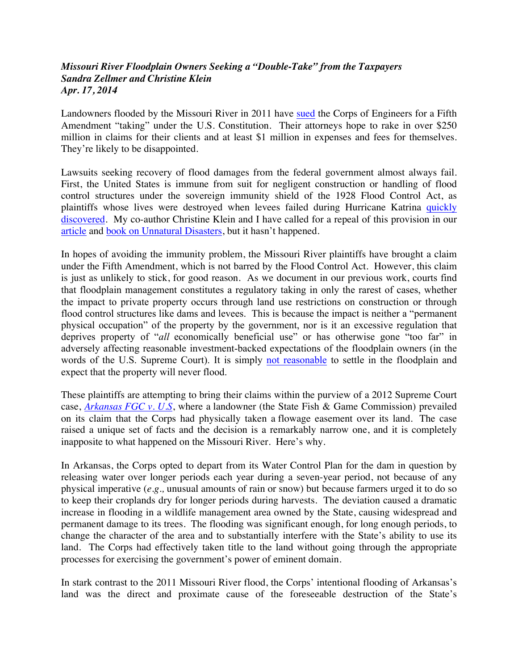## *Missouri River Floodplain Owners Seeking a "Double-Take" from the Taxpayers Sandra Zellmer and Christine Klein Apr. 17, 2014*

Landowners flooded by the Missouri River in 2011 have sued the Corps of Engineers for a Fifth Amendment "taking" under the U.S. Constitution. Their attorneys hope to rake in over \$250 million in claims for their clients and at least \$1 million in expenses and fees for themselves. They're likely to be disappointed.

Lawsuits seeking recovery of flood damages from the federal government almost always fail. First, the United States is immune from suit for negligent construction or handling of flood control structures under the sovereign immunity shield of the 1928 Flood Control Act, as plaintiffs whose lives were destroyed when levees failed during Hurricane Katrina quickly discovered. My co-author Christine Klein and I have called for a repeal of this provision in our article and book on Unnatural Disasters, but it hasn't happened.

In hopes of avoiding the immunity problem, the Missouri River plaintiffs have brought a claim under the Fifth Amendment, which is not barred by the Flood Control Act. However, this claim is just as unlikely to stick, for good reason. As we document in our previous work, courts find that floodplain management constitutes a regulatory taking in only the rarest of cases, whether the impact to private property occurs through land use restrictions on construction or through flood control structures like dams and levees. This is because the impact is neither a "permanent physical occupation" of the property by the government, nor is it an excessive regulation that deprives property of "*all* economically beneficial use" or has otherwise gone "too far" in adversely affecting reasonable investment-backed expectations of the floodplain owners (in the words of the U.S. Supreme Court). It is simply not reasonable to settle in the floodplain and expect that the property will never flood.

These plaintiffs are attempting to bring their claims within the purview of a 2012 Supreme Court case, *Arkansas FGC v. U.S*, where a landowner (the State Fish & Game Commission) prevailed on its claim that the Corps had physically taken a flowage easement over its land. The case raised a unique set of facts and the decision is a remarkably narrow one, and it is completely inapposite to what happened on the Missouri River. Here's why.

In Arkansas, the Corps opted to depart from its Water Control Plan for the dam in question by releasing water over longer periods each year during a seven-year period, not because of any physical imperative (*e.g.,* unusual amounts of rain or snow) but because farmers urged it to do so to keep their croplands dry for longer periods during harvests. The deviation caused a dramatic increase in flooding in a wildlife management area owned by the State, causing widespread and permanent damage to its trees. The flooding was significant enough, for long enough periods, to change the character of the area and to substantially interfere with the State's ability to use its land. The Corps had effectively taken title to the land without going through the appropriate processes for exercising the government's power of eminent domain.

In stark contrast to the 2011 Missouri River flood, the Corps' intentional flooding of Arkansas's land was the direct and proximate cause of the foreseeable destruction of the State's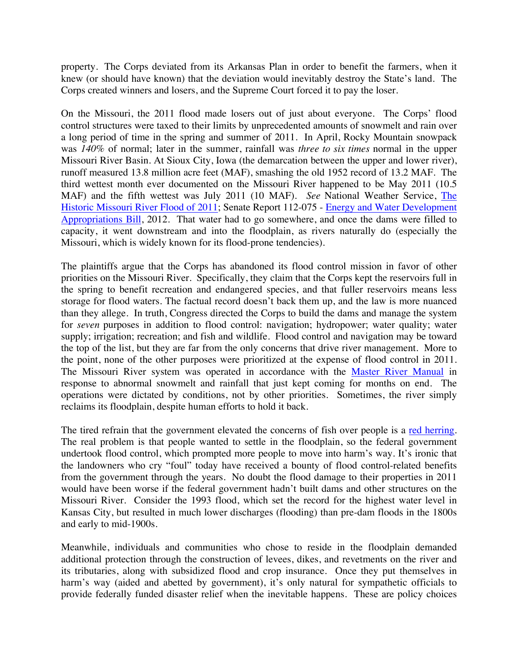property. The Corps deviated from its Arkansas Plan in order to benefit the farmers, when it knew (or should have known) that the deviation would inevitably destroy the State's land. The Corps created winners and losers, and the Supreme Court forced it to pay the loser.

On the Missouri, the 2011 flood made losers out of just about everyone. The Corps' flood control structures were taxed to their limits by unprecedented amounts of snowmelt and rain over a long period of time in the spring and summer of 2011. In April, Rocky Mountain snowpack was *140%* of normal; later in the summer, rainfall was *three to six times* normal in the upper Missouri River Basin. At Sioux City, Iowa (the demarcation between the upper and lower river), runoff measured 13.8 million acre feet (MAF), smashing the old 1952 record of 13.2 MAF. The third wettest month ever documented on the Missouri River happened to be May 2011 (10.5 MAF) and the fifth wettest was July 2011 (10 MAF). *See* National Weather Service, The Historic Missouri River Flood of 2011; Senate Report 112-075 - Energy and Water Development Appropriations Bill, 2012. That water had to go somewhere, and once the dams were filled to capacity, it went downstream and into the floodplain, as rivers naturally do (especially the Missouri, which is widely known for its flood-prone tendencies).

The plaintiffs argue that the Corps has abandoned its flood control mission in favor of other priorities on the Missouri River. Specifically, they claim that the Corps kept the reservoirs full in the spring to benefit recreation and endangered species, and that fuller reservoirs means less storage for flood waters. The factual record doesn't back them up, and the law is more nuanced than they allege. In truth, Congress directed the Corps to build the dams and manage the system for *seven* purposes in addition to flood control: navigation; hydropower; water quality; water supply; irrigation; recreation; and fish and wildlife. Flood control and navigation may be toward the top of the list, but they are far from the only concerns that drive river management. More to the point, none of the other purposes were prioritized at the expense of flood control in 2011. The Missouri River system was operated in accordance with the Master River Manual in response to abnormal snowmelt and rainfall that just kept coming for months on end. The operations were dictated by conditions, not by other priorities. Sometimes, the river simply reclaims its floodplain, despite human efforts to hold it back.

The tired refrain that the government elevated the concerns of fish over people is a red herring. The real problem is that people wanted to settle in the floodplain, so the federal government undertook flood control, which prompted more people to move into harm's way. It's ironic that the landowners who cry "foul" today have received a bounty of flood control-related benefits from the government through the years. No doubt the flood damage to their properties in 2011 would have been worse if the federal government hadn't built dams and other structures on the Missouri River. Consider the 1993 flood, which set the record for the highest water level in Kansas City, but resulted in much lower discharges (flooding) than pre-dam floods in the 1800s and early to mid-1900s.

Meanwhile, individuals and communities who chose to reside in the floodplain demanded additional protection through the construction of levees, dikes, and revetments on the river and its tributaries, along with subsidized flood and crop insurance. Once they put themselves in harm's way (aided and abetted by government), it's only natural for sympathetic officials to provide federally funded disaster relief when the inevitable happens. These are policy choices